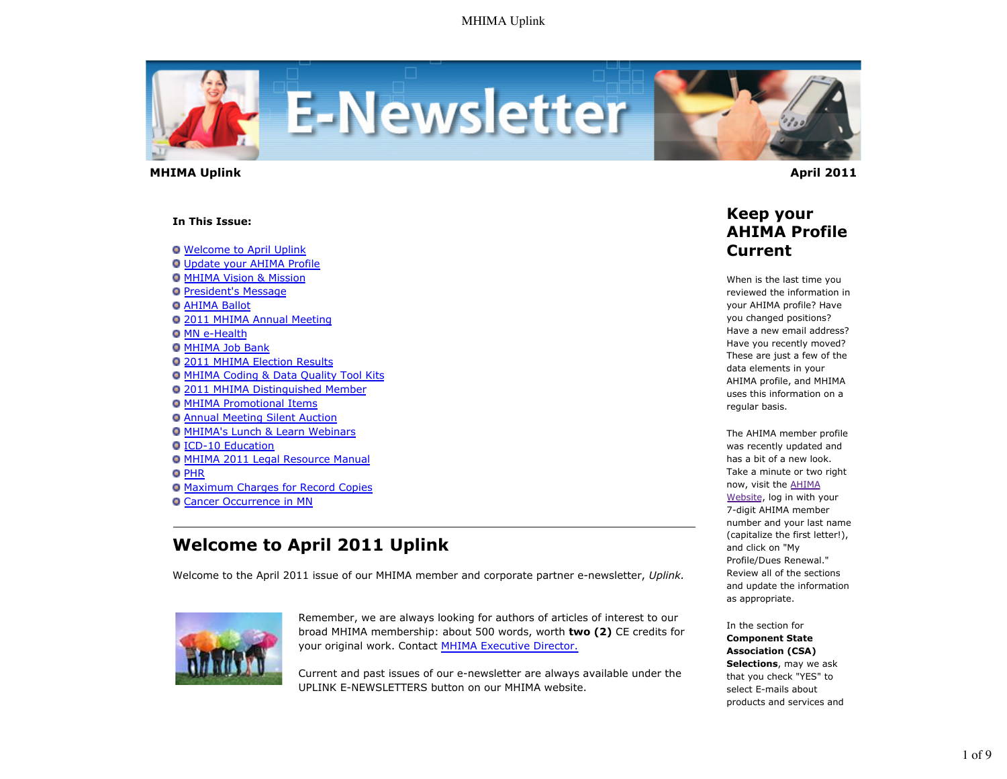

 **MHIMA Uplink April 2011** 

#### **In This Issue:**

Welcome to April Uplink

- Update your AHIMA Profile
- **O MHIMA Vision & Mission**
- **President's Message**
- **O AHIMA Ballot**
- 2011 MHIMA Annual Meeting
- **O MN e-Health**
- **O MHIMA Job Bank**
- 2011 MHIMA Election Results
- MHIMA Coding & Data Quality Tool Kits
- 2011 MHIMA Distinguished Member
- **O MHIMA Promotional Items**
- Annual Meeting Silent Auction
- **O MHIMA's Lunch & Learn Webinars**

### ICD-10 Education

- MHIMA 2011 Legal Resource Manual
- **O** PHR
- Maximum Charges for Record Copies
- **O Cancer Occurrence in MN**

# **Welcome to April 2011 Uplink**

Welcome to the April 2011 issue of our MHIMA member and corporate partner e-newsletter, *Uplink.*



Remember, we are always looking for authors of articles of interest to our broad MHIMA membership: about 500 words, worth **two (2)** CE credits for your original work. Contact MHIMA Executive Director.

Current and past issues of our e-newsletter are always available under the UPLINK E-NEWSLETTERS button on our MHIMA website.

### **Keep your AHIMA Profile Current**

When is the last time you reviewed the information in your AHIMA profile? Have you changed positions? Have a new email address? Have you recently moved? These are just a few of the data elements in your AHIMA profile, and MHIMA uses this information on a regular basis.

The AHIMA member profile was recently updated and has a bit of a new look. Take a minute or two right now, visit the AHIMA Website, log in with your 7-digit AHIMA member number and your last name (capitalize the first letter!), and click on "My Profile/Dues Renewal." Review all of the sections and update the information as appropriate.

In the section for **Component State Association (CSA) Selections**, may we ask that you check "YES" to select E-mails about products and services and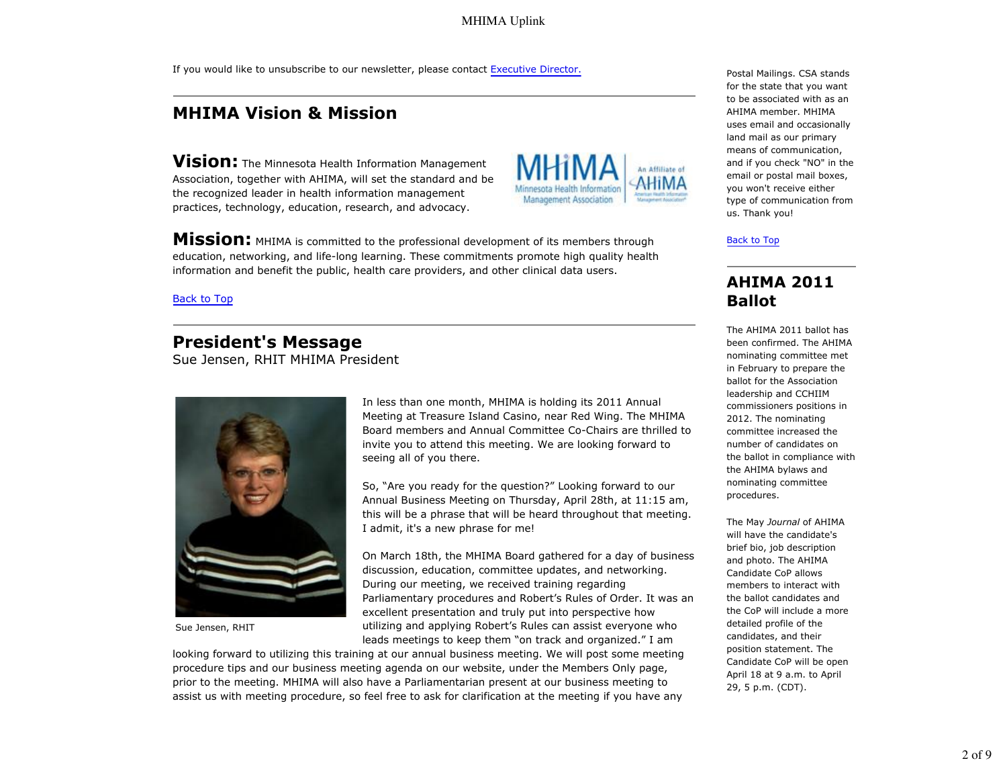If you would like to unsubscribe to our newsletter, please contact Executive Director.

# **MHIMA Vision & Mission**

**Vision:** The Minnesota Health Information Management Association, together with AHIMA, will set the standard and be the recognized leader in health information management practices, technology, education, research, and advocacy.



**Mission:** MHIMA is committed to the professional development of its members through education, networking, and life-long learning. These commitments promote high quality health information and benefit the public, health care providers, and other clinical data users.

Back to Top

### **President's Message**

Sue Jensen, RHIT MHIMA President



Sue Jensen, RHIT

In less than one month, MHIMA is holding its 2011 Annual Meeting at Treasure Island Casino, near Red Wing. The MHIMA Board members and Annual Committee Co-Chairs are thrilled to invite you to attend this meeting. We are looking forward to seeing all of you there.

So, "Are you ready for the question?" Looking forward to our Annual Business Meeting on Thursday, April 28th, at 11:15 am, this will be a phrase that will be heard throughout that meeting. I admit, it's a new phrase for me!

On March 18th, the MHIMA Board gathered for a day of business discussion, education, committee updates, and networking. During our meeting, we received training regarding Parliamentary procedures and Robert's Rules of Order. It was an excellent presentation and truly put into perspective how utilizing and applying Robert's Rules can assist everyone who leads meetings to keep them "on track and organized." I am

looking forward to utilizing this training at our annual business meeting. We will post some meeting procedure tips and our business meeting agenda on our website, under the Members Only page, prior to the meeting. MHIMA will also have a Parliamentarian present at our business meeting to assist us with meeting procedure, so feel free to ask for clarification at the meeting if you have any Postal Mailings. CSA stands for the state that you want to be associated with as an AHIMA member. MHIMA uses email and occasionally land mail as our primary means of communication, and if you check "NO" in the email or postal mail boxes, you won't receive either type of communication from us. Thank you!

#### Back to Top

### **AHIMA 2011 Ballot**

The AHIMA 2011 ballot has been confirmed. The AHIMA nominating committee met in February to prepare the ballot for the Association leadership and CCHIIM commissioners positions in 2012. The nominating committee increased the number of candidates on the ballot in compliance with the AHIMA bylaws and nominating committee procedures.

The May *Journal* of AHIMA will have the candidate's brief bio, job description and photo. The AHIMA Candidate CoP allows members to interact with the ballot candidates and the CoP will include a more detailed profile of the candidates, and their position statement. The Candidate CoP will be open April 18 at 9 a.m. to April 29, 5 p.m. (CDT).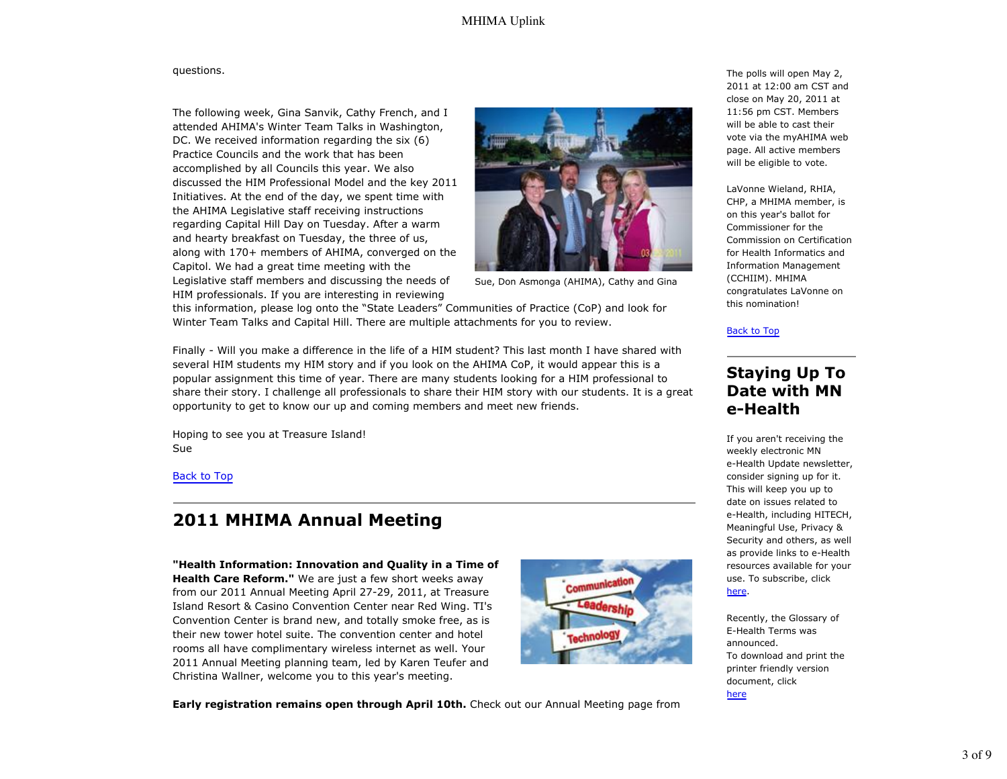#### questions.

The following week, Gina Sanvik, Cathy French, and I attended AHIMA's Winter Team Talks in Washington, DC. We received information regarding the six (6) Practice Councils and the work that has been accomplished by all Councils this year. We also discussed the HIM Professional Model and the key 2011 Initiatives. At the end of the day, we spent time with the AHIMA Legislative staff receiving instructions regarding Capital Hill Day on Tuesday. After a warm and hearty breakfast on Tuesday, the three of us, along with 170+ members of AHIMA, converged on the Capitol. We had a great time meeting with the Legislative staff members and discussing the needs of HIM professionals. If you are interesting in reviewing



Sue, Don Asmonga (AHIMA), Cathy and Gina

this information, please log onto the "State Leaders" Communities of Practice (CoP) and look for Winter Team Talks and Capital Hill. There are multiple attachments for you to review.

Finally - Will you make a difference in the life of a HIM student? This last month I have shared with several HIM students my HIM story and if you look on the AHIMA CoP, it would appear this is a popular assignment this time of year. There are many students looking for a HIM professional to share their story. I challenge all professionals to share their HIM story with our students. It is a great opportunity to get to know our up and coming members and meet new friends.

Hoping to see you at Treasure Island! Sue

### Back to Top

## **2011 MHIMA Annual Meeting**

**"Health Information: Innovation and Quality in a Time of Health Care Reform."** We are just a few short weeks away from our 2011 Annual Meeting April 27-29, 2011, at Treasure Island Resort & Casino Convention Center near Red Wing. TI's Convention Center is brand new, and totally smoke free, as is their new tower hotel suite. The convention center and hotel rooms all have complimentary wireless internet as well. Your 2011 Annual Meeting planning team, led by Karen Teufer and Christina Wallner, welcome you to this year's meeting.



**Early registration remains open through April 10th.** Check out our Annual Meeting page from

The polls will open May 2, 2011 at 12:00 am CST and close on May 20, 2011 at 11:56 pm CST. Members will be able to cast their vote via the myAHIMA web page. All active members will be eligible to vote.

LaVonne Wieland, RHIA, CHP, a MHIMA member, is on this year's ballot for Commissioner for the Commission on Certification for Health Informatics and Information Management (CCHIIM). MHIMA congratulates LaVonne on this nomination!

#### Back to Top

### **Staying Up To Date with MN e-Health**

If you aren't receiving the weekly electronic MN e-Health Update newsletter, consider signing up for it. This will keep you up to date on issues related to e-Health, including HITECH, Meaningful Use, Privacy & Security and others, as well as provide links to e-Health resources available for your use. To subscribe, click here.

Recently, the Glossary of E-Health Terms was announced. To download and print the printer friendly version document, click here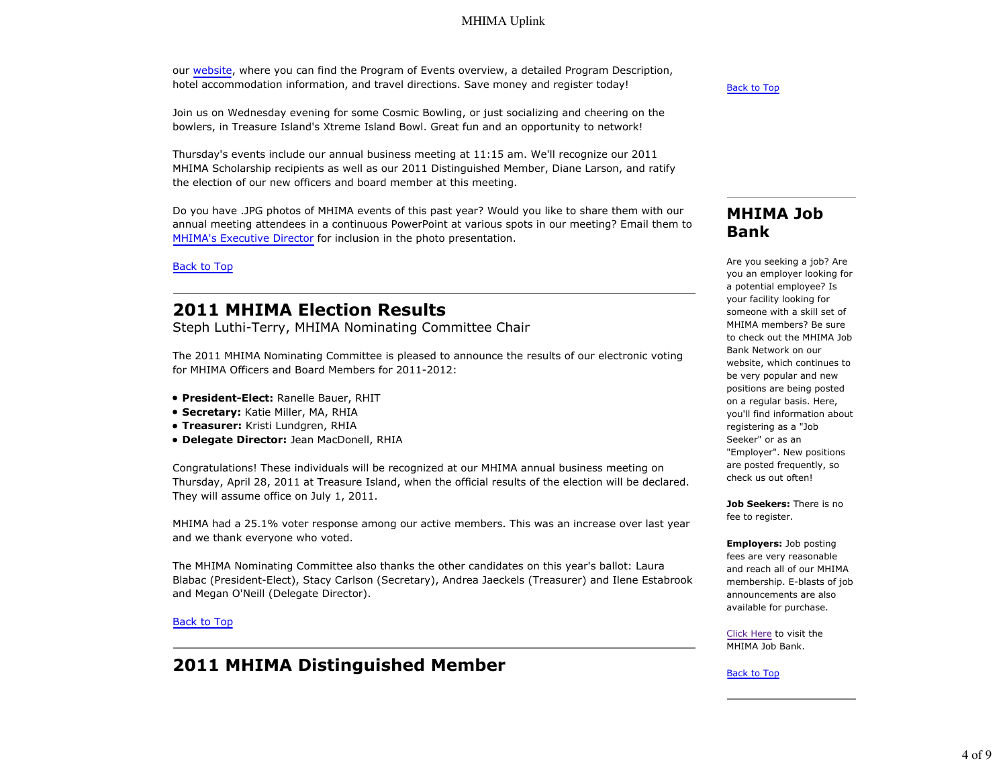our website, where you can find the Program of Events overview, a detailed Program Description, hotel accommodation information, and travel directions. Save money and register today!

Join us on Wednesday evening for some Cosmic Bowling, or just socializing and cheering on the bowlers, in Treasure Island's Xtreme Island Bowl. Great fun and an opportunity to network!

Thursday's events include our annual business meeting at 11:15 am. We'll recognize our 2011 MHIMA Scholarship recipients as well as our 2011 Distinguished Member, Diane Larson, and ratify the election of our new officers and board member at this meeting.

Do you have .JPG photos of MHIMA events of this past year? Would you like to share them with our annual meeting attendees in a continuous PowerPoint at various spots in our meeting? Email them to MHIMA's Executive Director for inclusion in the photo presentation.

Back to Top

# **2011 MHIMA Election Results**

Steph Luthi-Terry, MHIMA Nominating Committee Chair

The 2011 MHIMA Nominating Committee is pleased to announce the results of our electronic voting for MHIMA Officers and Board Members for 2011-2012:

- **President-Elect:** Ranelle Bauer, RHIT
- **Secretary:** Katie Miller, MA, RHIA
- **Treasurer:** Kristi Lundgren, RHIA
- **Delegate Director:** Jean MacDonell, RHIA

Congratulations! These individuals will be recognized at our MHIMA annual business meeting on Thursday, April 28, 2011 at Treasure Island, when the official results of the election will be declared. They will assume office on July 1, 2011.

MHIMA had a 25.1% voter response among our active members. This was an increase over last year and we thank everyone who voted.

The MHIMA Nominating Committee also thanks the other candidates on this year's ballot: Laura Blabac (President-Elect), Stacy Carlson (Secretary), Andrea Jaeckels (Treasurer) and Ilene Estabrook and Megan O'Neill (Delegate Director).

#### Back to Top

## **2011 MHIMA Distinguished Member**

Back to Top

### **MHIMA Job Bank**

Are you seeking a job? Are you an employer looking for a potential employee? Is your facility looking for someone with a skill set of MHIMA members? Be sure to check out the MHIMA Job Bank Network on our website, which continues to be very popular and new positions are being posted on a regular basis. Here, you'll find information about registering as a "Job Seeker" or as an "Employer". New positions are posted frequently, so check us out often!

**Job Seekers:** There is no fee to register.

**Employers:** Job posting fees are very reasonable and reach all of our MHIMA membership. E-blasts of job announcements are also available for purchase.

Click Here to visit the MHIMA Job Bank.

Back to Top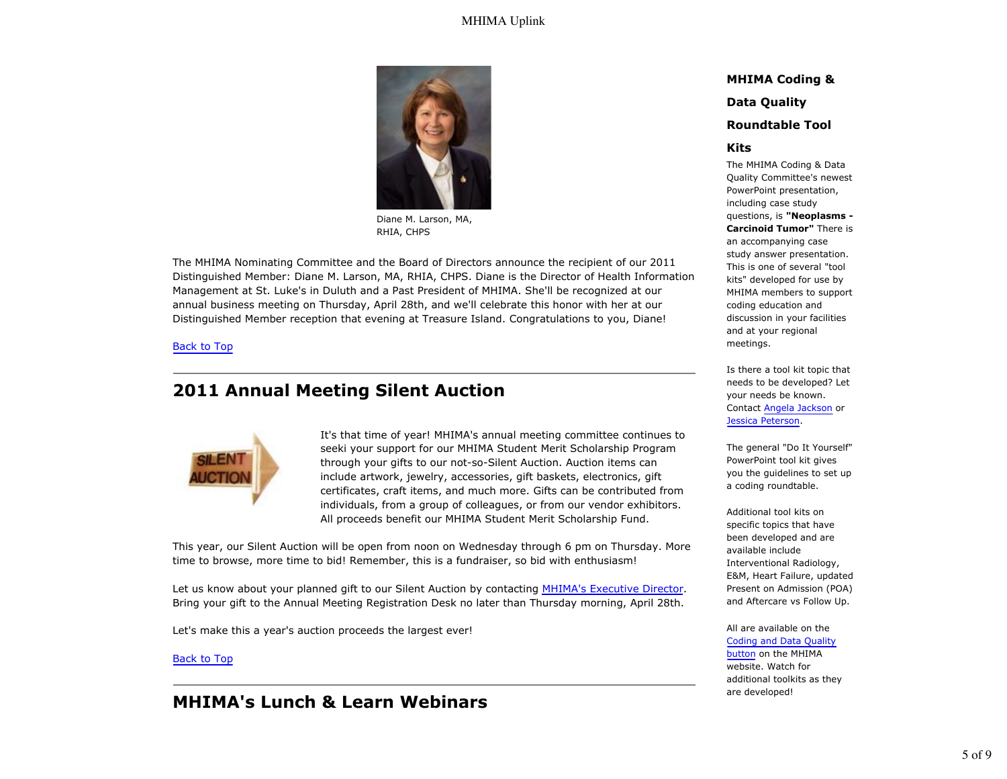

Diane M. Larson, MA, RHIA, CHPS

The MHIMA Nominating Committee and the Board of Directors announce the recipient of our 2011 Distinguished Member: Diane M. Larson, MA, RHIA, CHPS. Diane is the Director of Health Information Management at St. Luke's in Duluth and a Past President of MHIMA. She'll be recognized at our annual business meeting on Thursday, April 28th, and we'll celebrate this honor with her at our Distinguished Member reception that evening at Treasure Island. Congratulations to you, Diane!

#### Back to Top

## **2011 Annual Meeting Silent Auction**



It's that time of year! MHIMA's annual meeting committee continues to seeki your support for our MHIMA Student Merit Scholarship Program through your gifts to our not-so-Silent Auction. Auction items can include artwork, jewelry, accessories, gift baskets, electronics, gift certificates, craft items, and much more. Gifts can be contributed from individuals, from a group of colleagues, or from our vendor exhibitors. All proceeds benefit our MHIMA Student Merit Scholarship Fund.

This year, our Silent Auction will be open from noon on Wednesday through 6 pm on Thursday. More time to browse, more time to bid! Remember, this is a fundraiser, so bid with enthusiasm!

Let us know about your planned gift to our Silent Auction by contacting MHIMA's Executive Director. Bring your gift to the Annual Meeting Registration Desk no later than Thursday morning, April 28th.

Let's make this a year's auction proceeds the largest ever!

#### Back to Top

## **MHIMA's Lunch & Learn Webinars**

#### **MHIMA Coding &**

#### **Data Quality**

#### **Roundtable Tool**

#### **Kits**

The MHIMA Coding & Data Quality Committee's newest PowerPoint presentation, including case study questions, is **"Neoplasms - Carcinoid Tumor"** There is an accompanying case study answer presentation. This is one of several "tool kits" developed for use by MHIMA members to support coding education and discussion in your facilities and at your regional meetings.

Is there a tool kit topic that needs to be developed? Let your needs be known. Contact Angela Jackson or Jessica Peterson.

The general "Do It Yourself" PowerPoint tool kit gives you the guidelines to set up a coding roundtable.

Additional tool kits on specific topics that have been developed and are available include Interventional Radiology, E&M, Heart Failure, updated Present on Admission (POA) and Aftercare vs Follow Up.

#### All are available on the Coding and Data Quality

button on the MHIMA website. Watch for additional toolkits as they are developed!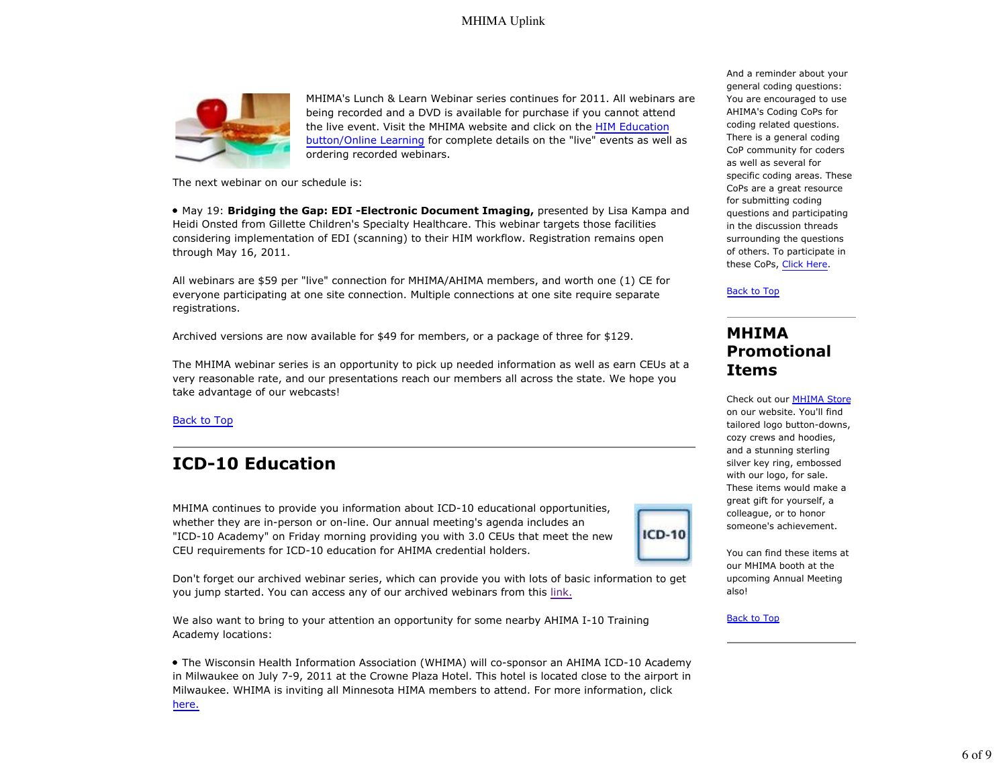

MHIMA's Lunch & Learn Webinar series continues for 2011. All webinars are being recorded and a DVD is available for purchase if you cannot attend the live event. Visit the MHIMA website and click on the HIM Education button/Online Learning for complete details on the "live" events as well as ordering recorded webinars.

The next webinar on our schedule is:

May 19: **Bridging the Gap: EDI -Electronic Document Imaging,** presented by Lisa Kampa and Heidi Onsted from Gillette Children's Specialty Healthcare. This webinar targets those facilities considering implementation of EDI (scanning) to their HIM workflow. Registration remains open through May 16, 2011.

All webinars are \$59 per "live" connection for MHIMA/AHIMA members, and worth one (1) CE for everyone participating at one site connection. Multiple connections at one site require separate registrations.

Archived versions are now available for \$49 for members, or a package of three for \$129.

The MHIMA webinar series is an opportunity to pick up needed information as well as earn CEUs at a very reasonable rate, and our presentations reach our members all across the state. We hope you take advantage of our webcasts!

Back to Top

# **ICD-10 Education**

MHIMA continues to provide you information about ICD-10 educational opportunities, whether they are in-person or on-line. Our annual meeting's agenda includes an "ICD-10 Academy" on Friday morning providing you with 3.0 CEUs that meet the new CEU requirements for ICD-10 education for AHIMA credential holders.

Don't forget our archived webinar series, which can provide you with lots of basic information to get you jump started. You can access any of our archived webinars from this link.

We also want to bring to your attention an opportunity for some nearby AHIMA I-10 Training Academy locations:

The Wisconsin Health Information Association (WHIMA) will co-sponsor an AHIMA ICD-10 Academy in Milwaukee on July 7-9, 2011 at the Crowne Plaza Hotel. This hotel is located close to the airport in Milwaukee. WHIMA is inviting all Minnesota HIMA members to attend. For more information, click here.

And a reminder about your general coding questions: You are encouraged to use AHIMA's Coding CoPs for coding related questions. There is a general coding CoP community for coders as well as several for specific coding areas. These CoPs are a great resource for submitting coding questions and participating in the discussion threads surrounding the questions of others. To participate in these CoPs, Click Here.

Back to Top

## **MHIMA Promotional Items**

Check out our MHIMA Store on our website. You'll find tailored logo button-downs, cozy crews and hoodies, and a stunning sterling silver key ring, embossed with our logo, for sale. These items would make a great gift for yourself, a colleague, or to honor someone's achievement.

You can find these items at our MHIMA booth at the upcoming Annual Meeting also!

Back to Top

**ICD-10**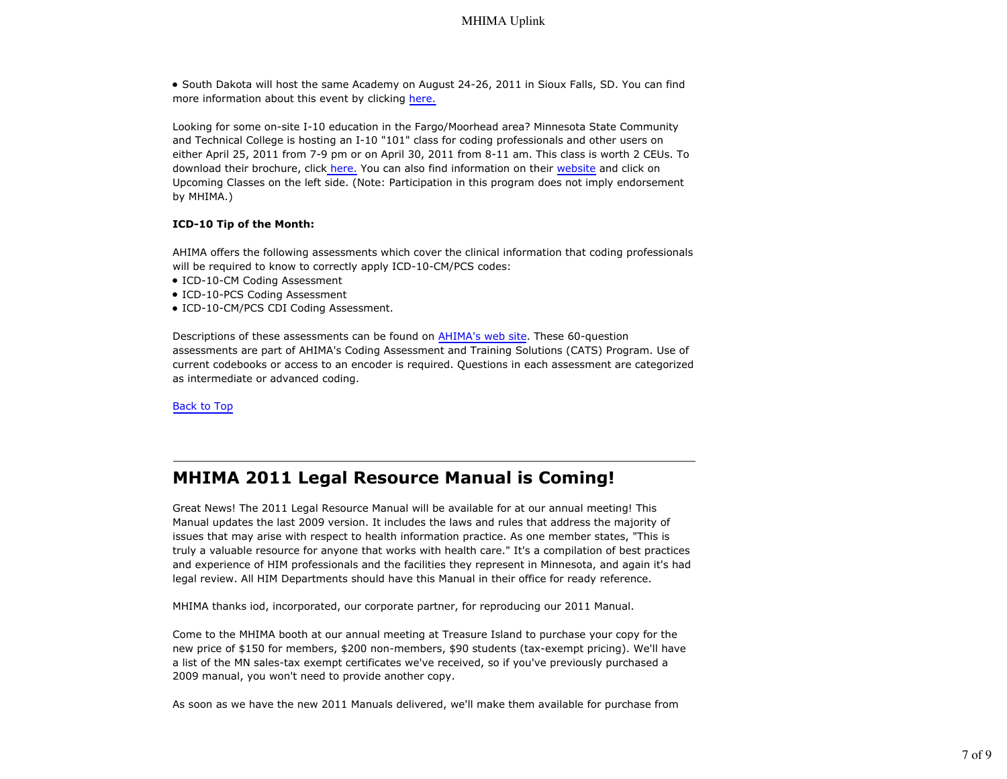South Dakota will host the same Academy on August 24-26, 2011 in Sioux Falls, SD. You can find more information about this event by clicking here.

Looking for some on-site I-10 education in the Fargo/Moorhead area? Minnesota State Community and Technical College is hosting an I-10 "101" class for coding professionals and other users on either April 25, 2011 from 7-9 pm or on April 30, 2011 from 8-11 am. This class is worth 2 CEUs. To download their brochure, click here. You can also find information on their website and click on Upcoming Classes on the left side. (Note: Participation in this program does not imply endorsement by MHIMA.)

#### **ICD-10 Tip of the Month:**

AHIMA offers the following assessments which cover the clinical information that coding professionals will be required to know to correctly apply ICD-10-CM/PCS codes:

- ICD-10-CM Coding Assessment
- ICD-10-PCS Coding Assessment
- ICD-10-CM/PCS CDI Coding Assessment.

Descriptions of these assessments can be found on AHIMA's web site. These 60-question assessments are part of AHIMA's Coding Assessment and Training Solutions (CATS) Program. Use of current codebooks or access to an encoder is required. Questions in each assessment are categorized as intermediate or advanced coding.

Back to Top

### **MHIMA 2011 Legal Resource Manual is Coming!**

Great News! The 2011 Legal Resource Manual will be available for at our annual meeting! This Manual updates the last 2009 version. It includes the laws and rules that address the majority of issues that may arise with respect to health information practice. As one member states, "This is truly a valuable resource for anyone that works with health care." It's a compilation of best practices and experience of HIM professionals and the facilities they represent in Minnesota, and again it's had legal review. All HIM Departments should have this Manual in their office for ready reference.

MHIMA thanks iod, incorporated, our corporate partner, for reproducing our 2011 Manual.

Come to the MHIMA booth at our annual meeting at Treasure Island to purchase your copy for the new price of \$150 for members, \$200 non-members, \$90 students (tax-exempt pricing). We'll have a list of the MN sales-tax exempt certificates we've received, so if you've previously purchased a 2009 manual, you won't need to provide another copy.

As soon as we have the new 2011 Manuals delivered, we'll make them available for purchase from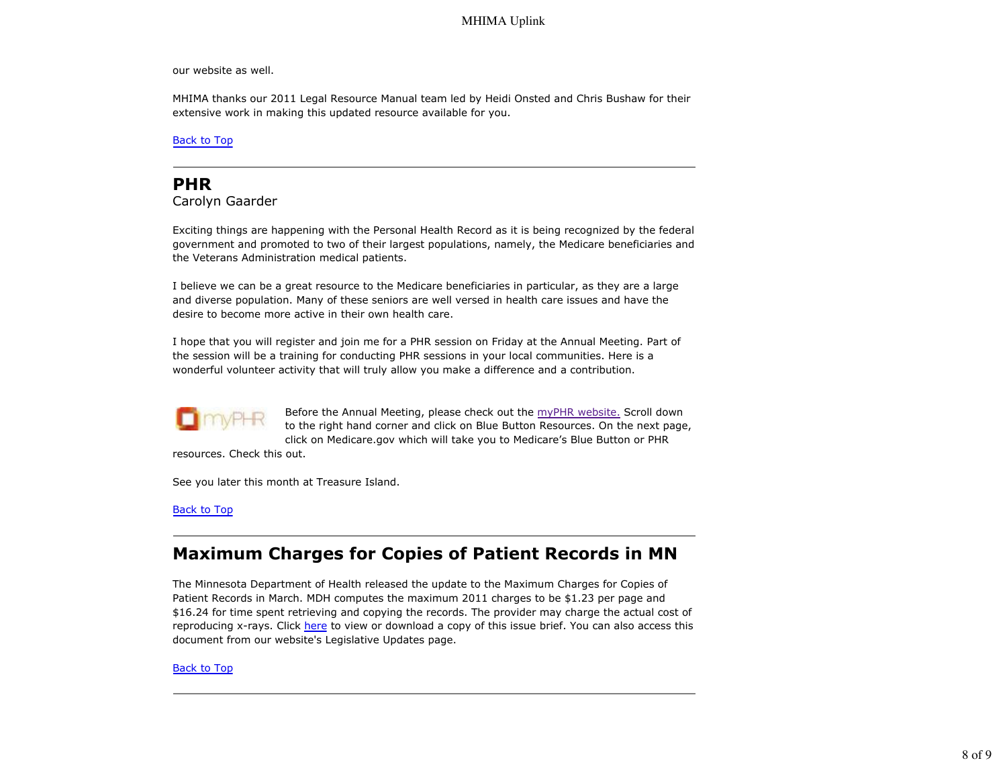our website as well.

MHIMA thanks our 2011 Legal Resource Manual team led by Heidi Onsted and Chris Bushaw for their extensive work in making this updated resource available for you.

Back to Top

## **PHR**

Carolyn Gaarder

Exciting things are happening with the Personal Health Record as it is being recognized by the federal government and promoted to two of their largest populations, namely, the Medicare beneficiaries and the Veterans Administration medical patients.

I believe we can be a great resource to the Medicare beneficiaries in particular, as they are a large and diverse population. Many of these seniors are well versed in health care issues and have the desire to become more active in their own health care.

I hope that you will register and join me for a PHR session on Friday at the Annual Meeting. Part of the session will be a training for conducting PHR sessions in your local communities. Here is a wonderful volunteer activity that will truly allow you make a difference and a contribution.



Before the Annual Meeting, please check out the myPHR website. Scroll down to the right hand corner and click on Blue Button Resources. On the next page, click on Medicare.gov which will take you to Medicare's Blue Button or PHR

resources. Check this out.

See you later this month at Treasure Island.

Back to Top

# **Maximum Charges for Copies of Patient Records in MN**

The Minnesota Department of Health released the update to the Maximum Charges for Copies of Patient Records in March. MDH computes the maximum 2011 charges to be \$1.23 per page and \$16.24 for time spent retrieving and copying the records. The provider may charge the actual cost of reproducing x-rays. Click here to view or download a copy of this issue brief. You can also access this document from our website's Legislative Updates page.

Back to Top